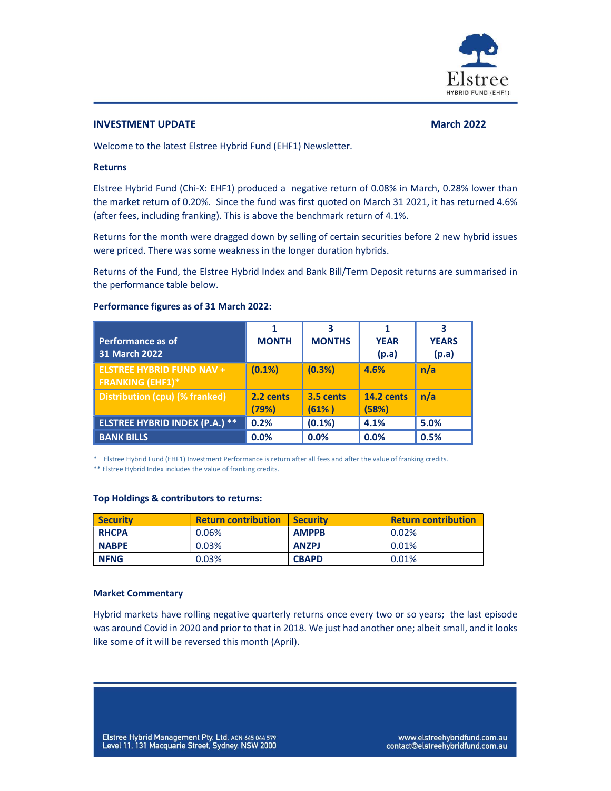

## **INVESTMENT UPDATE** March 2022 **March 2022**

Welcome to the latest Elstree Hybrid Fund (EHF1) Newsletter.

## Returns

Elstree Hybrid Fund (Chi-X: EHF1) produced a negative return of 0.08% in March, 0.28% lower than the market return of 0.20%. Since the fund was first quoted on March 31 2021, it has returned 4.6% (after fees, including franking). This is above the benchmark return of 4.1%.

Returns for the month were dragged down by selling of certain securities before 2 new hybrid issues were priced. There was some weakness in the longer duration hybrids.

Returns of the Fund, the Elstree Hybrid Index and Bank Bill/Term Deposit returns are summarised in the performance table below.

| Performance figures as of 31 March 2022: |  |  |
|------------------------------------------|--|--|
|                                          |  |  |

| <b>Performance as of</b><br>31 March 2022                   | <b>MONTH</b>       | 3<br><b>MONTHS</b>  | 1<br><b>YEAR</b><br>(p.a)  | 3<br><b>YEARS</b><br>(p.a) |
|-------------------------------------------------------------|--------------------|---------------------|----------------------------|----------------------------|
|                                                             |                    |                     |                            |                            |
| <b>ELSTREE HYBRID FUND NAV +</b><br><b>FRANKING (EHF1)*</b> | (0.1%)             | (0.3%)              | 4.6%                       | n/a                        |
| Distribution (cpu) (% franked)                              | 2.2 cents<br>(79%) | 3.5 cents<br>(61% ) | <b>14.2 cents</b><br>(58%) | n/a                        |
| <b>ELSTREE HYBRID INDEX (P.A.) **</b>                       | 0.2%               | $(0.1\%)$           | 4.1%                       | 5.0%                       |
| <b>BANK BILLS</b>                                           | 0.0%               | 0.0%                | 0.0%                       | 0.5%                       |

\* Elstree Hybrid Fund (EHF1) Investment Performance is return after all fees and after the value of franking credits.

\*\* Elstree Hybrid Index includes the value of franking credits.

## Top Holdings & contributors to returns:

| <b>Security</b> | <b>Return contribution</b> | <b>Security</b> | <b>Return contribution</b> |
|-----------------|----------------------------|-----------------|----------------------------|
| <b>RHCPA</b>    | 0.06%                      | <b>AMPPB</b>    | 0.02%                      |
| <b>NABPE</b>    | 0.03%                      | <b>ANZPJ</b>    | 0.01%                      |
| <b>NFNG</b>     | 0.03%                      | <b>CBAPD</b>    | 0.01%                      |

## Market Commentary

Hybrid markets have rolling negative quarterly returns once every two or so years; the last episode was around Covid in 2020 and prior to that in 2018. We just had another one; albeit small, and it looks like some of it will be reversed this month (April).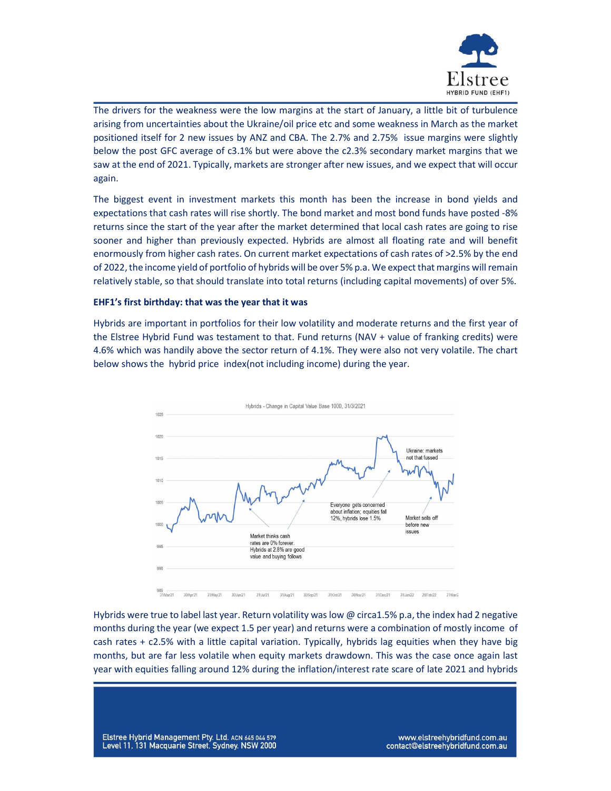

The drivers for the weakness were the low margins at the start of January, a little bit of turbulence arising from uncertainties about the Ukraine/oil price etc and some weakness in March as the market positioned itself for 2 new issues by ANZ and CBA. The 2.7% and 2.75% issue margins were slightly below the post GFC average of c3.1% but were above the c2.3% secondary market margins that we saw at the end of 2021. Typically, markets are stronger after new issues, and we expect that will occur again.

The biggest event in investment markets this month has been the increase in bond yields and expectations that cash rates will rise shortly. The bond market and most bond funds have posted -8% returns since the start of the year after the market determined that local cash rates are going to rise sooner and higher than previously expected. Hybrids are almost all floating rate and will benefit enormously from higher cash rates. On current market expectations of cash rates of >2.5% by the end of 2022, the income yield of portfolio of hybrids will be over 5% p.a. We expect that margins will remain relatively stable, so that should translate into total returns (including capital movements) of over 5%.

## EHF1's first birthday: that was the year that it was

Hybrids are important in portfolios for their low volatility and moderate returns and the first year of the Elstree Hybrid Fund was testament to that. Fund returns (NAV + value of franking credits) were 4.6% which was handily above the sector return of 4.1%. They were also not very volatile. The chart below shows the hybrid price index(not including income) during the year.



Hybrids were true to label last year. Return volatility was low @ circa1.5% p.a, the index had 2 negative months during the year (we expect 1.5 per year) and returns were a combination of mostly income of cash rates + c2.5% with a little capital variation. Typically, hybrids lag equities when they have big months, but are far less volatile when equity markets drawdown. This was the case once again last year with equities falling around 12% during the inflation/interest rate scare of late 2021 and hybrids

Elstree Hybrid Management Pty. Ltd. ACN 645 044 579 Level 11, 131 Macquarie Street, Sydney. NSW 2000

www.elstreehybridfund.com.au contact@elstreehybridfund.com.au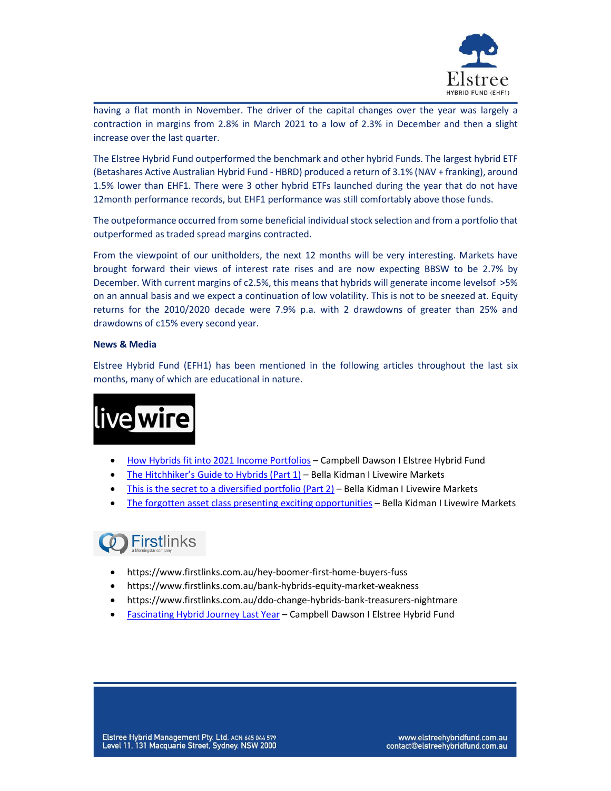

having a flat month in November. The driver of the capital changes over the year was largely a contraction in margins from 2.8% in March 2021 to a low of 2.3% in December and then a slight increase over the last quarter.

The Elstree Hybrid Fund outperformed the benchmark and other hybrid Funds. The largest hybrid ETF (Betashares Active Australian Hybrid Fund - HBRD) produced a return of 3.1% (NAV + franking), around 1.5% lower than EHF1. There were 3 other hybrid ETFs launched during the year that do not have 12month performance records, but EHF1 performance was still comfortably above those funds.

The outpeformance occurred from some beneficial individual stock selection and from a portfolio that outperformed as traded spread margins contracted.

From the viewpoint of our unitholders, the next 12 months will be very interesting. Markets have brought forward their views of interest rate rises and are now expecting BBSW to be 2.7% by December. With current margins of c2.5%, this means that hybrids will generate income levelsof >5% on an annual basis and we expect a continuation of low volatility. This is not to be sneezed at. Equity returns for the 2010/2020 decade were 7.9% p.a. with 2 drawdowns of greater than 25% and drawdowns of c15% every second year.

## News & Media

Elstree Hybrid Fund (EFH1) has been mentioned in the following articles throughout the last six months, many of which are educational in nature.



- How Hybrids fit into 2021 Income Portfolios Campbell Dawson I Elstree Hybrid Fund
- The Hitchhiker's Guide to Hybrids (Part 1) Bella Kidman I Livewire Markets
- This is the secret to a diversified portfolio (Part 2) Bella Kidman I Livewire Markets
- The forgotten asset class presenting exciting opportunities Bella Kidman I Livewire Markets

# **O** Firstlinks

- https://www.firstlinks.com.au/hey-boomer-first-home-buyers-fuss
- https://www.firstlinks.com.au/bank-hybrids-equity-market-weakness
- https://www.firstlinks.com.au/ddo-change-hybrids-bank-treasurers-nightmare
- Fascinating Hybrid Journey Last Year Campbell Dawson I Elstree Hybrid Fund